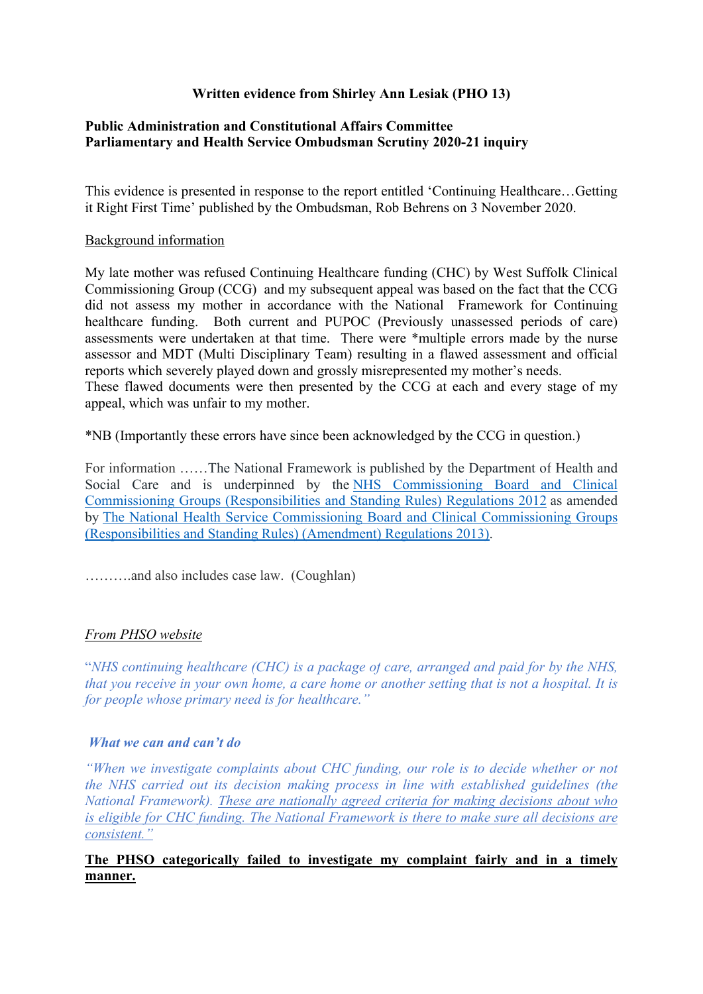# **Written evidence from Shirley Ann Lesiak (PHO 13)**

### **[Public](https://admin.committees.parliament.uk/Committee/Edit/327) [Administration](https://admin.committees.parliament.uk/Committee/Edit/327) [and](https://admin.committees.parliament.uk/Committee/Edit/327) [Constitutional](https://admin.committees.parliament.uk/Committee/Edit/327) [Affairs](https://admin.committees.parliament.uk/Committee/Edit/327) [Committee](https://admin.committees.parliament.uk/Committee/Edit/327) [Parliamentary](https://admin.committees.parliament.uk/Committee/327/CommitteeBusiness/Edit/1503) [and](https://admin.committees.parliament.uk/Committee/327/CommitteeBusiness/Edit/1503) [Health](https://admin.committees.parliament.uk/Committee/327/CommitteeBusiness/Edit/1503) [Service](https://admin.committees.parliament.uk/Committee/327/CommitteeBusiness/Edit/1503) [Ombudsman](https://admin.committees.parliament.uk/Committee/327/CommitteeBusiness/Edit/1503) [Scrutiny](https://admin.committees.parliament.uk/Committee/327/CommitteeBusiness/Edit/1503) [2020-21](https://admin.committees.parliament.uk/Committee/327/CommitteeBusiness/Edit/1503) inquiry**

This evidence is presented in response to the report entitled 'Continuing Healthcare…Getting it Right First Time' published by the Ombudsman, Rob Behrens on 3 November 2020.

### Background information

My late mother was refused Continuing Healthcare funding (CHC) by West Suffolk Clinical Commissioning Group (CCG) and my subsequent appeal was based on the fact that the CCG did not assess my mother in accordance with the National Framework for Continuing healthcare funding. Both current and PUPOC (Previously unassessed periods of care) assessments were undertaken at that time. There were \*multiple errors made by the nurse assessor and MDT (Multi Disciplinary Team) resulting in a flawed assessment and official reports which severely played down and grossly misrepresented my mother's needs. These flawed documents were then presented by the CCG at each and every stage of my appeal, which was unfair to my mother.

\*NB (Importantly these errors have since been acknowledged by the CCG in question.)

For information ……The National Framework is published by the Department of Health and Social Care and is underpinned by the [NHS](http://www.nhs.uk/choiceintheNHS/Rightsandpledges/Waitingtimes/Documents/nhs-england-and-ccg-regulations.pdf) [Commissioning](http://www.nhs.uk/choiceintheNHS/Rightsandpledges/Waitingtimes/Documents/nhs-england-and-ccg-regulations.pdf) [Board](http://www.nhs.uk/choiceintheNHS/Rightsandpledges/Waitingtimes/Documents/nhs-england-and-ccg-regulations.pdf) [and](http://www.nhs.uk/choiceintheNHS/Rightsandpledges/Waitingtimes/Documents/nhs-england-and-ccg-regulations.pdf) [Clinical](http://www.nhs.uk/choiceintheNHS/Rightsandpledges/Waitingtimes/Documents/nhs-england-and-ccg-regulations.pdf) [Commissioning](http://www.nhs.uk/choiceintheNHS/Rightsandpledges/Waitingtimes/Documents/nhs-england-and-ccg-regulations.pdf) [Groups](http://www.nhs.uk/choiceintheNHS/Rightsandpledges/Waitingtimes/Documents/nhs-england-and-ccg-regulations.pdf) [\(Responsibilities](http://www.nhs.uk/choiceintheNHS/Rightsandpledges/Waitingtimes/Documents/nhs-england-and-ccg-regulations.pdf) [and](http://www.nhs.uk/choiceintheNHS/Rightsandpledges/Waitingtimes/Documents/nhs-england-and-ccg-regulations.pdf) [Standing](http://www.nhs.uk/choiceintheNHS/Rightsandpledges/Waitingtimes/Documents/nhs-england-and-ccg-regulations.pdf) [Rules\)](http://www.nhs.uk/choiceintheNHS/Rightsandpledges/Waitingtimes/Documents/nhs-england-and-ccg-regulations.pdf) [Regulations](http://www.nhs.uk/choiceintheNHS/Rightsandpledges/Waitingtimes/Documents/nhs-england-and-ccg-regulations.pdf) [2012](http://www.nhs.uk/choiceintheNHS/Rightsandpledges/Waitingtimes/Documents/nhs-england-and-ccg-regulations.pdf) as amended by [The](http://www.legislation.gov.uk/uksi/2013/2891/contents/made) [National](http://www.legislation.gov.uk/uksi/2013/2891/contents/made) [Health](http://www.legislation.gov.uk/uksi/2013/2891/contents/made) [Service](http://www.legislation.gov.uk/uksi/2013/2891/contents/made) [Commissioning](http://www.legislation.gov.uk/uksi/2013/2891/contents/made) [Board](http://www.legislation.gov.uk/uksi/2013/2891/contents/made) [and](http://www.legislation.gov.uk/uksi/2013/2891/contents/made) [Clinical](http://www.legislation.gov.uk/uksi/2013/2891/contents/made) [Commissioning](http://www.legislation.gov.uk/uksi/2013/2891/contents/made) [Groups](http://www.legislation.gov.uk/uksi/2013/2891/contents/made) [\(Responsibilities](http://www.legislation.gov.uk/uksi/2013/2891/contents/made) [and](http://www.legislation.gov.uk/uksi/2013/2891/contents/made) [Standing](http://www.legislation.gov.uk/uksi/2013/2891/contents/made) [Rules\)](http://www.legislation.gov.uk/uksi/2013/2891/contents/made) [\(Amendment\)](http://www.legislation.gov.uk/uksi/2013/2891/contents/made) [Regulations](http://www.legislation.gov.uk/uksi/2013/2891/contents/made) [2013\).](http://www.legislation.gov.uk/uksi/2013/2891/contents/made)

……….and also includes case law. (Coughlan)

## *From PHSO website*

"*NHS continuing healthcare (CHC) is a package of care, arranged and paid for by the NHS,* that vou receive in your own home, a care home or another setting that is not a hospital. It is *for people whose primary need is for healthcare."*

#### *What we can and can't do*

*"When we investigate complaints about CHC funding, our role is to decide whether or not the NHS carried out its decision making process in line with established guidelines (the National Framework). These are nationally agreed criteria for making decisions about who is eligible for CHC funding. The National Framework is there to make sure all decisions are consistent."*

# **The PHSO categorically failed to investigate my complaint fairly and in a timely manner.**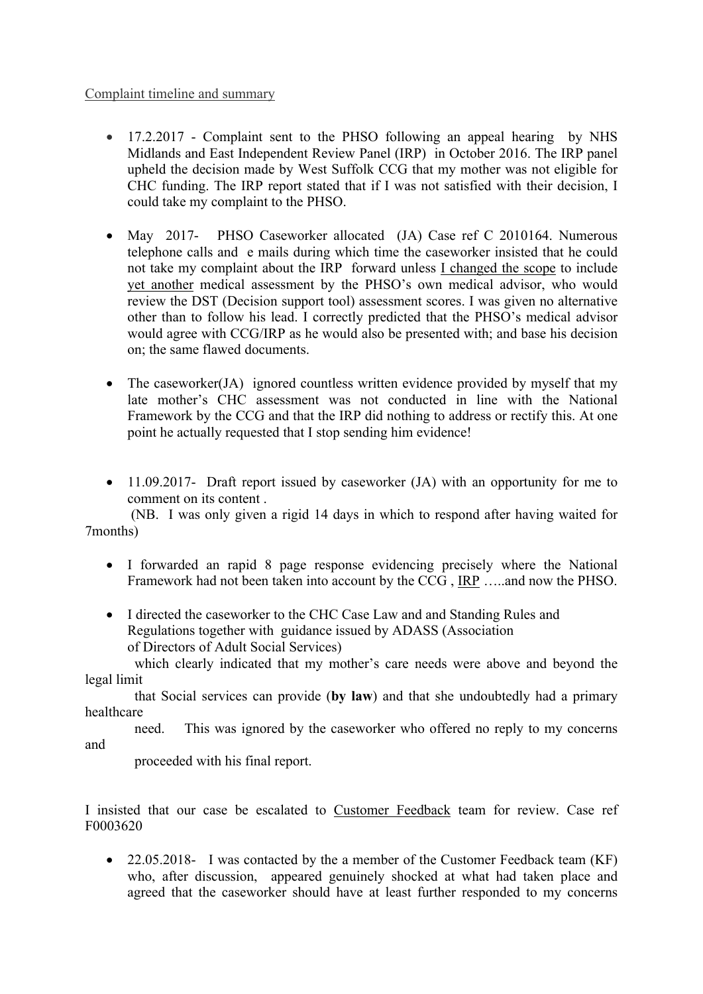### Complaint timeline and summary

- 17.2.2017 Complaint sent to the PHSO following an appeal hearing by NHS Midlands and East Independent Review Panel (IRP) in October 2016. The IRP panel upheld the decision made by West Suffolk CCG that my mother was not eligible for CHC funding. The IRP report stated that if I was not satisfied with their decision, I could take my complaint to the PHSO.
- May 2017- PHSO Caseworker allocated (JA) Case ref C 2010164. Numerous telephone calls and e mails during which time the caseworker insisted that he could not take my complaint about the IRP forward unless I changed the scope to include yet another medical assessment by the PHSO's own medical advisor, who would review the DST (Decision support tool) assessment scores. I was given no alternative other than to follow his lead. I correctly predicted that the PHSO's medical advisor would agree with CCG/IRP as he would also be presented with; and base his decision on; the same flawed documents.
- The caseworker(JA) ignored countless written evidence provided by myself that my late mother's CHC assessment was not conducted in line with the National Framework by the CCG and that the IRP did nothing to address or rectify this. At one point he actually requested that I stop sending him evidence!
- 11.09.2017- Draft report issued by caseworker (JA) with an opportunity for me to comment on its content .

 (NB. I was only given a rigid 14 days in which to respond after having waited for 7months)

- I forwarded an rapid 8 page response evidencing precisely where the National Framework had not been taken into account by the CCG , IRP …..and now the PHSO.
- I directed the caseworker to the CHC Case Law and and Standing Rules and Regulations together with guidance issued by ADASS (Association of Directors of Adult Social Services)

 which clearly indicated that my mother's care needs were above and beyond the legal limit

 that Social services can provide (**by law**) and that she undoubtedly had a primary healthcare

 need. This was ignored by the caseworker who offered no reply to my concerns and

proceeded with his final report.

I insisted that our case be escalated to Customer Feedback team for review. Case ref F0003620

• 22.05.2018- I was contacted by the a member of the Customer Feedback team (KF) who, after discussion, appeared genuinely shocked at what had taken place and agreed that the caseworker should have at least further responded to my concerns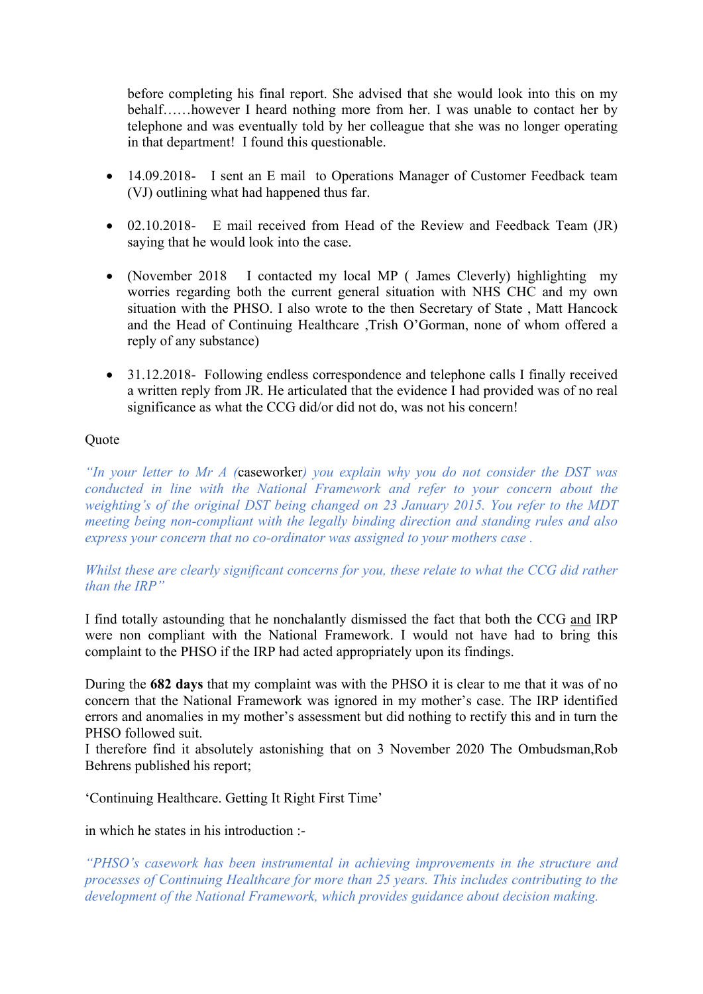before completing his final report. She advised that she would look into this on my behalf……however I heard nothing more from her. I was unable to contact her by telephone and was eventually told by her colleague that she was no longer operating in that department! I found this questionable.

- 14.09.2018- I sent an E mail to Operations Manager of Customer Feedback team (VJ) outlining what had happened thus far.
- 02.10.2018- E mail received from Head of the Review and Feedback Team (JR) saying that he would look into the case.
- (November 2018 I contacted my local MP (James Cleverly) highlighting my worries regarding both the current general situation with NHS CHC and my own situation with the PHSO. I also wrote to the then Secretary of State , Matt Hancock and the Head of Continuing Healthcare ,Trish O'Gorman, none of whom offered a reply of any substance)
- 31.12.2018- Following endless correspondence and telephone calls I finally received a written reply from JR. He articulated that the evidence I had provided was of no real significance as what the CCG did/or did not do, was not his concern!

### **Ouote**

*"In your letter to Mr A (*caseworker*) you explain why you do not consider the DST was conducted in line with the National Framework and refer to your concern about the weighting's of the original DST being changed on 23 January 2015. You refer to the MDT meeting being non-compliant with the legally binding direction and standing rules and also express your concern that no co-ordinator was assigned to your mothers case .*

*Whilst these are clearly significant concerns for you, these relate to what the CCG did rather than the IRP"*

I find totally astounding that he nonchalantly dismissed the fact that both the CCG and IRP were non compliant with the National Framework. I would not have had to bring this complaint to the PHSO if the IRP had acted appropriately upon its findings.

During the **682 days** that my complaint was with the PHSO it is clear to me that it was of no concern that the National Framework was ignored in my mother's case. The IRP identified errors and anomalies in my mother's assessment but did nothing to rectify this and in turn the PHSO followed suit.

I therefore find it absolutely astonishing that on 3 November 2020 The Ombudsman,Rob Behrens published his report;

'Continuing Healthcare. Getting It Right First Time'

in which he states in his introduction :-

*"PHSO's casework has been instrumental in achieving improvements in the structure and processes of Continuing Healthcare for more than 25 years. This includes contributing to the development of the National Framework, which provides guidance about decision making.*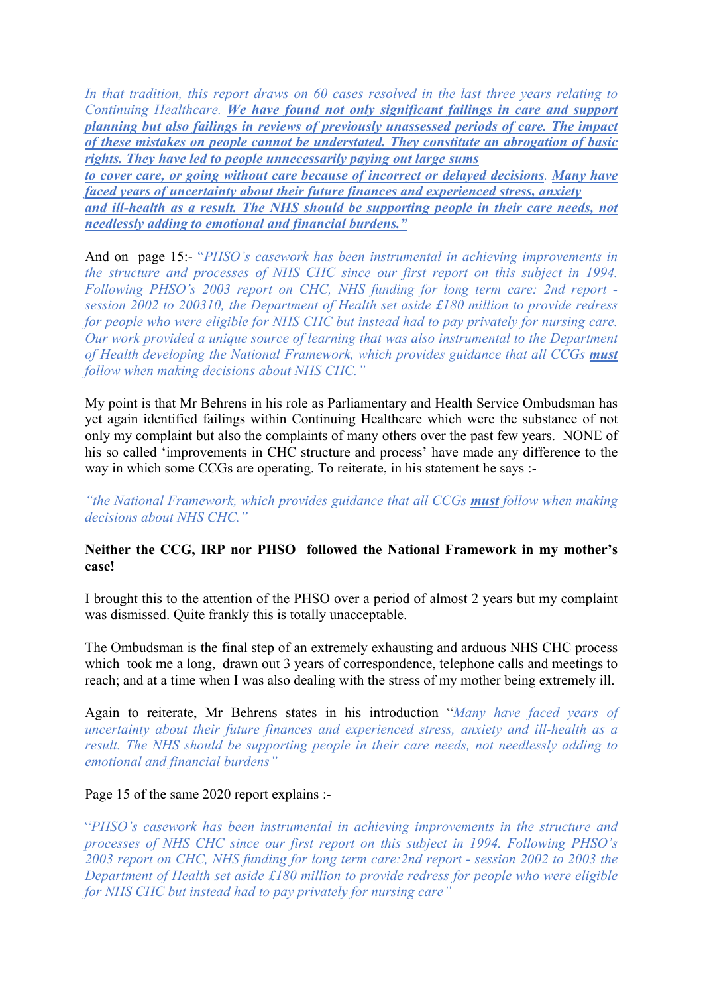*In that tradition, this report draws on 60 cases resolved in the last three years relating to Continuing Healthcare. We have found not only significant failings in care and support planning but also failings in reviews of previously unassessed periods of care. The impact of these mistakes on people cannot be understated. They constitute an abrogation of basic rights. They have led to people unnecessarily paying out large sums*

*to cover care, or going without care because of incorrect or delayed decisions. Many have faced years of uncertainty about their future finances and experienced stress, anxiety and ill-health as a result. The NHS should be supporting people in their care needs, not needlessly adding to emotional and financial burdens."*

And on page 15:- "*PHSO's casework has been instrumental in achieving improvements in the structure and processes of NHS CHC since our first report on this subject in 1994. Following PHSO's 2003 report on CHC, NHS funding for long term care: 2nd report session 2002 to 200310, the Department of Health set aside £180 million to provide redress for people who were eligible for NHS CHC but instead had to pay privately for nursing care. Our work provided a unique source of learning that was also instrumental to the Department of Health developing the National Framework, which provides guidance that all CCGs must follow when making decisions about NHS CHC."*

My point is that Mr Behrens in his role as Parliamentary and Health Service Ombudsman has yet again identified failings within Continuing Healthcare which were the substance of not only my complaint but also the complaints of many others over the past few years. NONE of his so called 'improvements in CHC structure and process' have made any difference to the way in which some CCGs are operating. To reiterate, in his statement he says :-

*"the National Framework, which provides guidance that all CCGs must follow when making decisions about NHS CHC."*

### **Neither the CCG, IRP nor PHSO followed the National Framework in my mother's case!**

I brought this to the attention of the PHSO over a period of almost 2 years but my complaint was dismissed. Quite frankly this is totally unacceptable.

The Ombudsman is the final step of an extremely exhausting and arduous NHS CHC process which took me a long, drawn out 3 years of correspondence, telephone calls and meetings to reach; and at a time when I was also dealing with the stress of my mother being extremely ill.

Again to reiterate, Mr Behrens states in his introduction "*Many have faced years of uncertainty about their future finances and experienced stress, anxiety and ill-health as a result. The NHS should be supporting people in their care needs, not needlessly adding to emotional and financial burdens"*

#### Page 15 of the same 2020 report explains :-

"*PHSO's casework has been instrumental in achieving improvements in the structure and processes of NHS CHC since our first report on this subject in 1994. Following PHSO's 2003 report on CHC, NHS funding for long term care:2nd report - session 2002 to 2003 the Department of Health set aside £180 million to provide redress for people who were eligible for NHS CHC but instead had to pay privately for nursing care"*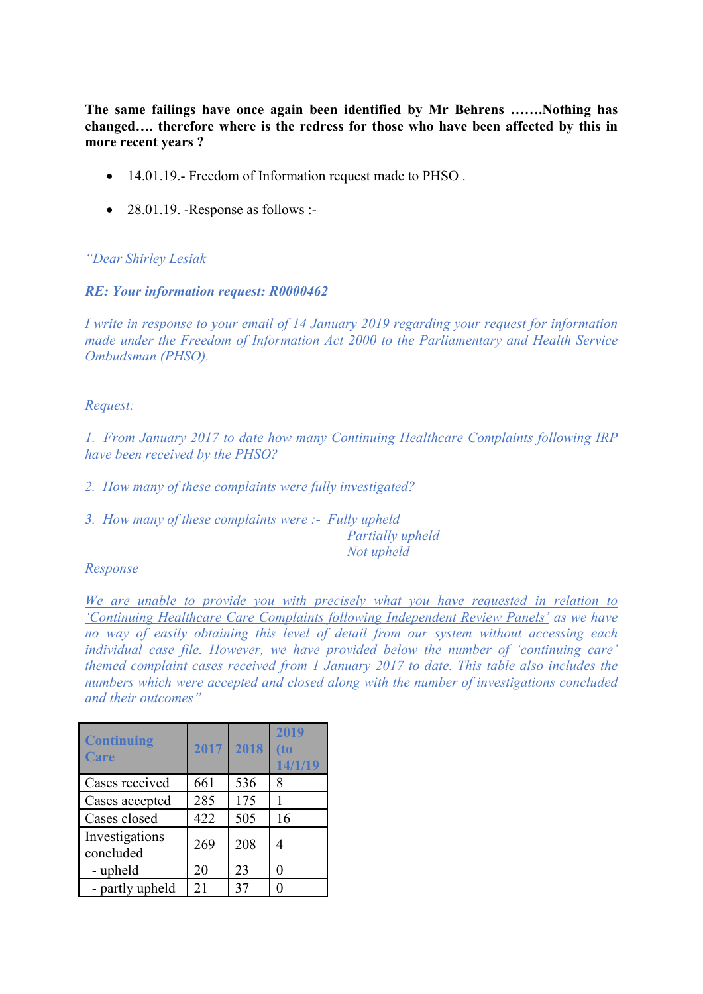**The same failings have once again been identified by Mr Behrens …….Nothing has changed…. therefore where is the redress for those who have been affected by this in more recent years ?**

- 14.01.19. Freedom of Information request made to PHSO.
- $\bullet$  28.01.19. -Response as follows :-

#### *"Dear Shirley Lesiak*

#### *RE: Your information request: R0000462*

*I write in response to your email of 14 January 2019 regarding your request for information made under the Freedom of Information Act 2000 to the Parliamentary and Health Service Ombudsman (PHSO).*

### *Request:*

*1. From January 2017 to date how many Continuing Healthcare Complaints following IRP have been received by the PHSO?*

- *2. How many of these complaints were fully investigated?*
- *3. How many of these complaints were :- Fully upheld*

*Partially upheld Not upheld*

#### *Response*

*We are unable to provide you with precisely what you have requested in relation to 'Continuing Healthcare Care Complaints following Independent Review Panels' as we have no way of easily obtaining this level of detail from our system without accessing each individual case file. However, we have provided below the number of 'continuing care' themed complaint cases received from 1 January 2017 to date. This table also includes the numbers which were accepted and closed along with the number of investigations concluded and their outcomes"*

| <b>Continuing</b><br>Care   | 2017 | 2018 | 2019<br>(to<br>14/1/19 |
|-----------------------------|------|------|------------------------|
| Cases received              | 661  | 536  | 8                      |
| Cases accepted              | 285  | 175  |                        |
| Cases closed                | 422  | 505  | 16                     |
| Investigations<br>concluded | 269  | 208  | 4                      |
| - upheld                    | 20   | 23   | 0                      |
| - partly upheld             | 21   | 37   |                        |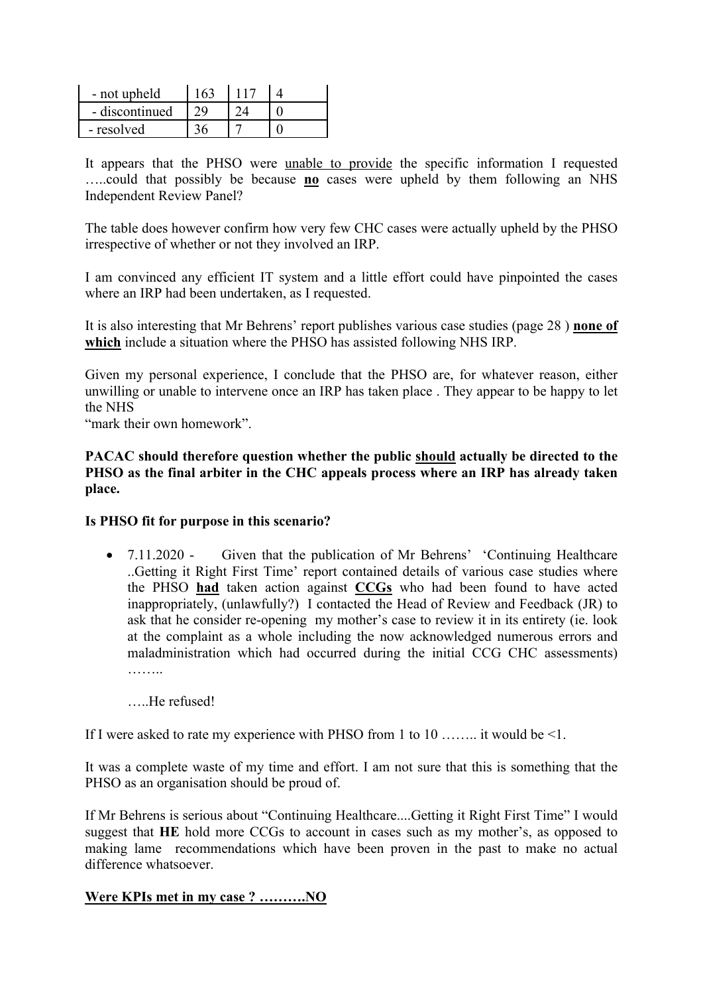| - not upheld   |  |  |
|----------------|--|--|
| - discontinued |  |  |
| - resolved     |  |  |

It appears that the PHSO were unable to provide the specific information I requested …..could that possibly be because **no** cases were upheld by them following an NHS Independent Review Panel?

The table does however confirm how very few CHC cases were actually upheld by the PHSO irrespective of whether or not they involved an IRP.

I am convinced any efficient IT system and a little effort could have pinpointed the cases where an IRP had been undertaken, as I requested.

It is also interesting that Mr Behrens' report publishes various case studies (page 28 ) **none of which** include a situation where the PHSO has assisted following NHS IRP.

Given my personal experience, I conclude that the PHSO are, for whatever reason, either unwilling or unable to intervene once an IRP has taken place . They appear to be happy to let the NHS

"mark their own homework".

**PACAC should therefore question whether the public should actually be directed to the PHSO as the final arbiter in the CHC appeals process where an IRP has already taken place.**

#### **Is PHSO fit for purpose in this scenario?**

• 7.11.2020 - Given that the publication of Mr Behrens' 'Continuing Healthcare' ..Getting it Right First Time' report contained details of various case studies where the PHSO **had** taken action against **CCGs** who had been found to have acted inappropriately, (unlawfully?) I contacted the Head of Review and Feedback (JR) to ask that he consider re-opening my mother's case to review it in its entirety (ie. look at the complaint as a whole including the now acknowledged numerous errors and maladministration which had occurred during the initial CCG CHC assessments) ………

…..He refused!

If I were asked to rate my experience with PHSO from 1 to 10 …….. it would be <1.

It was a complete waste of my time and effort. I am not sure that this is something that the PHSO as an organisation should be proud of.

If Mr Behrens is serious about "Continuing Healthcare....Getting it Right First Time" I would suggest that **HE** hold more CCGs to account in cases such as my mother's, as opposed to making lame recommendations which have been proven in the past to make no actual difference whatsoever.

## **Were KPIs met in my case ? ……….NO**